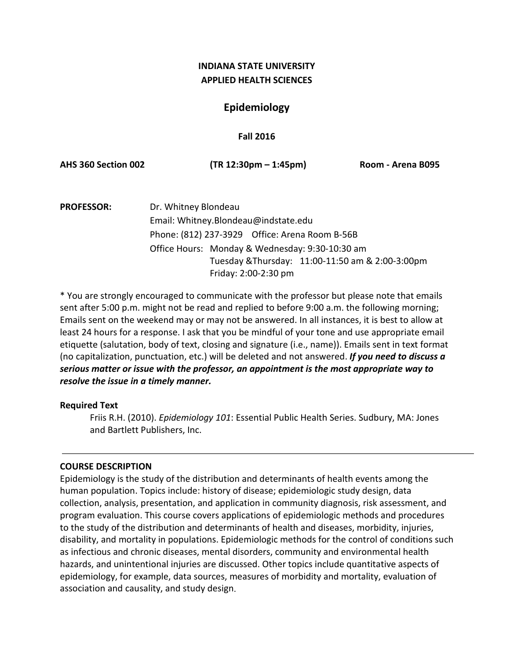# **INDIANA STATE UNIVERSITY APPLIED HEALTH SCIENCES**

# **Epidemiology**

## **Fall 2016**

**AHS 360 Section 002 (TR 12:30pm – 1:45pm) Room - Arena B095**

**PROFESSOR:** Dr. Whitney Blondeau Email: Whitney.Blondeau@indstate.edu Phone: (812) 237-3929 Office: Arena Room B-56B Office Hours: Monday & Wednesday: 9:30-10:30 am Tuesday &Thursday: 11:00-11:50 am & 2:00-3:00pm Friday: 2:00-2:30 pm

\* You are strongly encouraged to communicate with the professor but please note that emails sent after 5:00 p.m. might not be read and replied to before 9:00 a.m. the following morning; Emails sent on the weekend may or may not be answered. In all instances, it is best to allow at least 24 hours for a response. I ask that you be mindful of your tone and use appropriate email etiquette (salutation, body of text, closing and signature (i.e., name)). Emails sent in text format (no capitalization, punctuation, etc.) will be deleted and not answered. *If you need to discuss a serious matter or issue with the professor, an appointment is the most appropriate way to resolve the issue in a timely manner.*

## **Required Text**

Friis R.H. (2010). *Epidemiology 101*: Essential Public Health Series. Sudbury, MA: Jones and Bartlett Publishers, Inc.

## **COURSE DESCRIPTION**

Epidemiology is the study of the distribution and determinants of health events among the human population. Topics include: history of disease; epidemiologic study design, data collection, analysis, presentation, and application in community diagnosis, risk assessment, and program evaluation. This course covers applications of epidemiologic methods and procedures to the study of the distribution and determinants of health and diseases, morbidity, injuries, disability, and mortality in populations. Epidemiologic methods for the control of conditions such as infectious and chronic diseases, mental disorders, community and environmental health hazards, and unintentional injuries are discussed. Other topics include quantitative aspects of epidemiology, for example, data sources, measures of morbidity and mortality, evaluation of association and causality, and study design.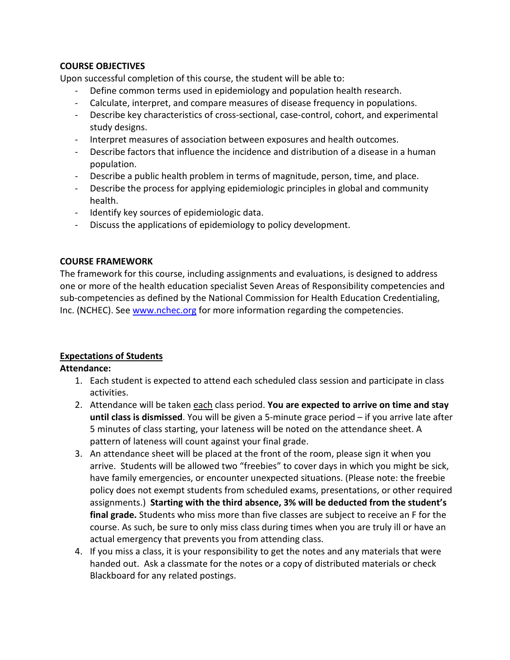# **COURSE OBJECTIVES**

Upon successful completion of this course, the student will be able to:

- Define common terms used in epidemiology and population health research.
- Calculate, interpret, and compare measures of disease frequency in populations.
- Describe key characteristics of cross-sectional, case-control, cohort, and experimental study designs.
- Interpret measures of association between exposures and health outcomes.
- Describe factors that influence the incidence and distribution of a disease in a human population.
- Describe a public health problem in terms of magnitude, person, time, and place.
- Describe the process for applying epidemiologic principles in global and community health.
- Identify key sources of epidemiologic data.
- Discuss the applications of epidemiology to policy development.

# **COURSE FRAMEWORK**

The framework for this course, including assignments and evaluations, is designed to address one or more of the health education specialist Seven Areas of Responsibility competencies and sub-competencies as defined by the National Commission for Health Education Credentialing, Inc. (NCHEC). See [www.nchec.org](http://www.nchec.org/) for more information regarding the competencies.

# **Expectations of Students**

# **Attendance:**

- 1. Each student is expected to attend each scheduled class session and participate in class activities.
- 2. Attendance will be taken each class period. **You are expected to arrive on time and stay until class is dismissed**. You will be given a 5-minute grace period – if you arrive late after 5 minutes of class starting, your lateness will be noted on the attendance sheet. A pattern of lateness will count against your final grade.
- 3. An attendance sheet will be placed at the front of the room, please sign it when you arrive. Students will be allowed two "freebies" to cover days in which you might be sick, have family emergencies, or encounter unexpected situations. (Please note: the freebie policy does not exempt students from scheduled exams, presentations, or other required assignments.) **Starting with the third absence, 3% will be deducted from the student's final grade.** Students who miss more than five classes are subject to receive an F for the course. As such, be sure to only miss class during times when you are truly ill or have an actual emergency that prevents you from attending class.
- 4. If you miss a class, it is your responsibility to get the notes and any materials that were handed out. Ask a classmate for the notes or a copy of distributed materials or check Blackboard for any related postings.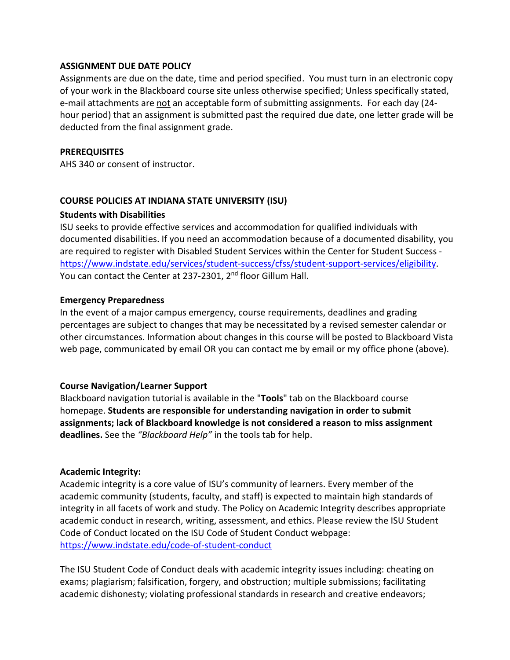## **ASSIGNMENT DUE DATE POLICY**

Assignments are due on the date, time and period specified. You must turn in an electronic copy of your work in the Blackboard course site unless otherwise specified; Unless specifically stated, e-mail attachments are not an acceptable form of submitting assignments. For each day (24 hour period) that an assignment is submitted past the required due date, one letter grade will be deducted from the final assignment grade.

#### **PREREQUISITES**

AHS 340 or consent of instructor.

#### **COURSE POLICIES AT INDIANA STATE UNIVERSITY (ISU)**

#### **Students with Disabilities**

ISU seeks to provide effective services and accommodation for qualified individuals with documented disabilities. If you need an accommodation because of a documented disability, you are required to register with Disabled Student Services within the Center for Student Success [https://www.indstate.edu/services/student-success/cfss/student-support-services/eligibility.](https://www.indstate.edu/services/student-success/cfss/student-support-services/eligibility) You can contact the Center at 237-2301, 2<sup>nd</sup> floor Gillum Hall.

#### **Emergency Preparedness**

In the event of a major campus emergency, course requirements, deadlines and grading percentages are subject to changes that may be necessitated by a revised semester calendar or other circumstances. Information about changes in this course will be posted to Blackboard Vista web page, communicated by email OR you can contact me by email or my office phone (above).

#### **Course Navigation/Learner Support**

Blackboard navigation tutorial is available in the "**Tools**" tab on the Blackboard course homepage. **Students are responsible for understanding navigation in order to submit assignments; lack of Blackboard knowledge is not considered a reason to miss assignment deadlines.** See the *"Blackboard Help"* in the tools tab for help.

## **Academic Integrity:**

Academic integrity is a core value of ISU's community of learners. Every member of the academic community (students, faculty, and staff) is expected to maintain high standards of integrity in all facets of work and study. The Policy on Academic Integrity describes appropriate academic conduct in research, writing, assessment, and ethics. Please review the ISU Student Code of Conduct located on the ISU Code of Student Conduct webpage: <https://www.indstate.edu/code-of-student-conduct>

The ISU Student Code of Conduct deals with academic integrity issues including: cheating on exams; plagiarism; falsification, forgery, and obstruction; multiple submissions; facilitating academic dishonesty; violating professional standards in research and creative endeavors;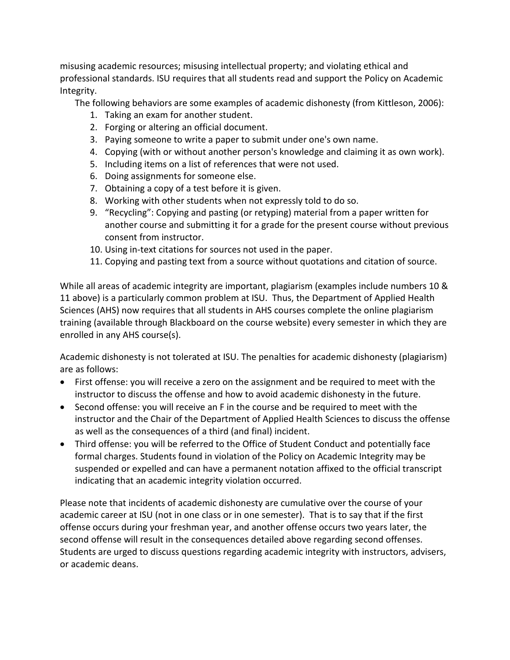misusing academic resources; misusing intellectual property; and violating ethical and professional standards. ISU requires that all students read and support the Policy on Academic Integrity.

The following behaviors are some examples of academic dishonesty (from Kittleson, 2006):

- 1. Taking an exam for another student.
- 2. Forging or altering an official document.
- 3. Paying someone to write a paper to submit under one's own name.
- 4. Copying (with or without another person's knowledge and claiming it as own work).
- 5. Including items on a list of references that were not used.
- 6. Doing assignments for someone else.
- 7. Obtaining a copy of a test before it is given.
- 8. Working with other students when not expressly told to do so.
- 9. "Recycling": Copying and pasting (or retyping) material from a paper written for another course and submitting it for a grade for the present course without previous consent from instructor.
- 10. Using in-text citations for sources not used in the paper.
- 11. Copying and pasting text from a source without quotations and citation of source.

While all areas of academic integrity are important, plagiarism (examples include numbers 10 & 11 above) is a particularly common problem at ISU. Thus, the Department of Applied Health Sciences (AHS) now requires that all students in AHS courses complete the online plagiarism training (available through Blackboard on the course website) every semester in which they are enrolled in any AHS course(s).

Academic dishonesty is not tolerated at ISU. The penalties for academic dishonesty (plagiarism) are as follows:

- First offense: you will receive a zero on the assignment and be required to meet with the instructor to discuss the offense and how to avoid academic dishonesty in the future.
- Second offense: you will receive an F in the course and be required to meet with the instructor and the Chair of the Department of Applied Health Sciences to discuss the offense as well as the consequences of a third (and final) incident.
- Third offense: you will be referred to the Office of Student Conduct and potentially face formal charges. Students found in violation of the Policy on Academic Integrity may be suspended or expelled and can have a permanent notation affixed to the official transcript indicating that an academic integrity violation occurred.

Please note that incidents of academic dishonesty are cumulative over the course of your academic career at ISU (not in one class or in one semester). That is to say that if the first offense occurs during your freshman year, and another offense occurs two years later, the second offense will result in the consequences detailed above regarding second offenses. Students are urged to discuss questions regarding academic integrity with instructors, advisers, or academic deans.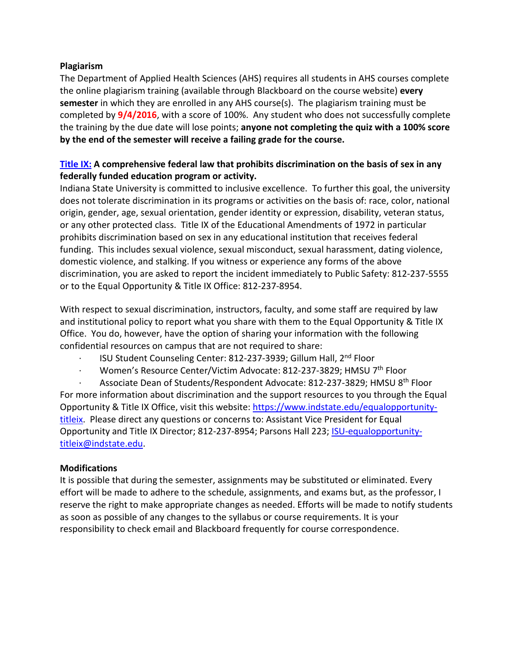## **Plagiarism**

The Department of Applied Health Sciences (AHS) requires all students in AHS courses complete the online plagiarism training (available through Blackboard on the course website) **every semester** in which they are enrolled in any AHS course(s). The plagiarism training must be completed by **9/4/2016**, with a score of 100%. Any student who does not successfully complete the training by the due date will lose points; **anyone not completing the quiz with a 100% score by the end of the semester will receive a failing grade for the course.**

# **[Title IX:](https://www.justice.gov/crt/overview-title-ix-education-amendments-1972-20-usc-1681-et-seq) A comprehensive federal law that prohibits discrimination on the basis of sex in any federally funded education program or activity.**

Indiana State University is committed to inclusive excellence. To further this goal, the university does not tolerate discrimination in its programs or activities on the basis of: race, color, national origin, gender, age, sexual orientation, gender identity or expression, disability, veteran status, or any other protected class. Title IX of the Educational Amendments of 1972 in particular prohibits discrimination based on sex in any educational institution that receives federal funding. This includes sexual violence, sexual misconduct, sexual harassment, dating violence, domestic violence, and stalking. If you witness or experience any forms of the above discrimination, you are asked to report the incident immediately to Public Safety: 812-237-5555 or to the Equal Opportunity & Title IX Office: 812-237-8954.

With respect to sexual discrimination, instructors, faculty, and some staff are required by law and institutional policy to report what you share with them to the Equal Opportunity & Title IX Office. You do, however, have the option of sharing your information with the following confidential resources on campus that are not required to share:

- ISU Student Counseling Center: 812-237-3939; Gillum Hall, 2<sup>nd</sup> Floor
- · Women's Resource Center/Victim Advocate: 812-237-3829; HMSU 7th Floor

Associate Dean of Students/Respondent Advocate: 812-237-3829; HMSU 8<sup>th</sup> Floor For more information about discrimination and the support resources to you through the Equal Opportunity & Title IX Office, visit this website: [https://www.indstate.edu/equalopportunity](https://www.indstate.edu/equalopportunity-titleix)[titleix.](https://www.indstate.edu/equalopportunity-titleix) Please direct any questions or concerns to: Assistant Vice President for Equal Opportunity and Title IX Director; 812-237-8954; Parsons Hall 223; [ISU-equalopportunity](mailto:ISU-equalopportunity-titleix@indstate.edu)[titleix@indstate.edu.](mailto:ISU-equalopportunity-titleix@indstate.edu)

# **Modifications**

It is possible that during the semester, assignments may be substituted or eliminated. Every effort will be made to adhere to the schedule, assignments, and exams but, as the professor, I reserve the right to make appropriate changes as needed. Efforts will be made to notify students as soon as possible of any changes to the syllabus or course requirements. It is your responsibility to check email and Blackboard frequently for course correspondence.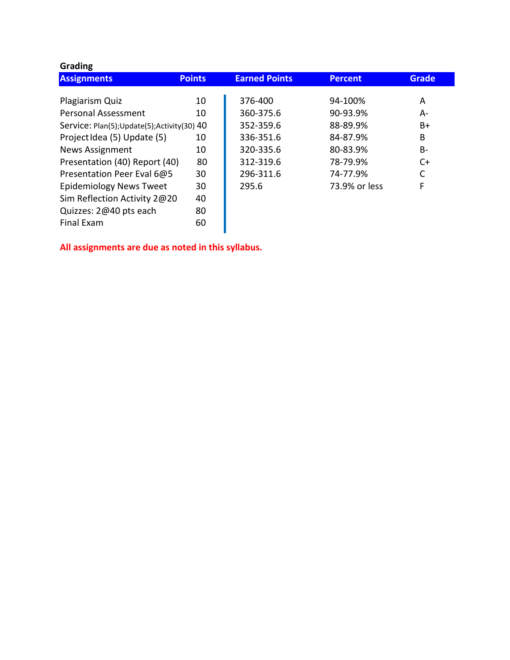| <b>Grading</b>                               |               |                      |                |              |
|----------------------------------------------|---------------|----------------------|----------------|--------------|
| <b>Assignments</b>                           | <b>Points</b> | <b>Earned Points</b> | <b>Percent</b> | <b>Grade</b> |
|                                              |               | 376-400              |                |              |
| Plagiarism Quiz                              | 10            |                      | 94-100%        | A            |
| <b>Personal Assessment</b>                   | 10            | 360-375.6            | 90-93.9%       | A-           |
| Service: Plan(5); Update(5); Activity(30) 40 |               | 352-359.6            | 88-89.9%       | B+           |
| Project Idea (5) Update (5)                  | 10            | 336-351.6            | 84-87.9%       | B            |
| <b>News Assignment</b>                       | 10            | 320-335.6            | 80-83.9%       | В-           |
| Presentation (40) Report (40)                | 80            | 312-319.6            | 78-79.9%       | C+           |
| Presentation Peer Eval 6@5                   | 30            | 296-311.6            | 74-77.9%       | C            |
| <b>Epidemiology News Tweet</b>               | 30            | 295.6                | 73.9% or less  | F            |
| Sim Reflection Activity 2@20                 | 40            |                      |                |              |
| Quizzes: 2@40 pts each                       | 80            |                      |                |              |
| <b>Final Exam</b>                            | 60            |                      |                |              |

**All assignments are due as noted in this syllabus.**